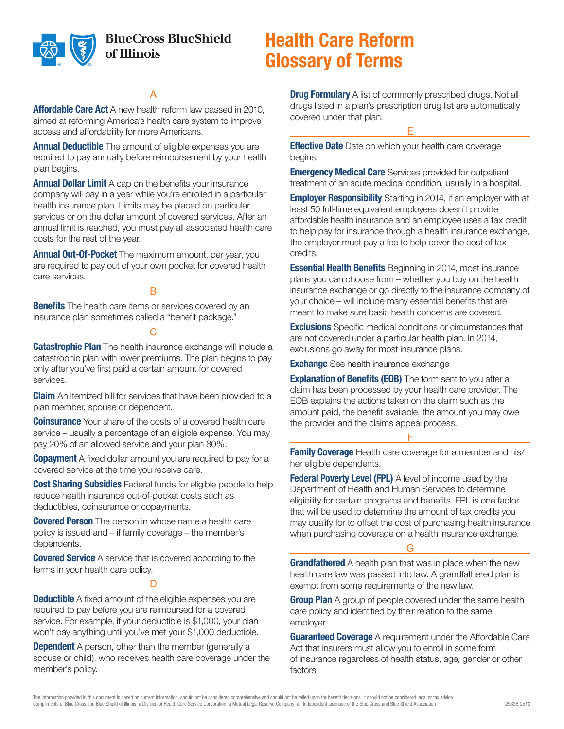

**BlueCross BlueShield** of Illinois

# **Health Care Reform Glossary of Terms**

A

**Affordable Care Act** A new health reform law passed in 2010, aimed at reforming America's health care system to improve access and affordability for more Americans.

**Annual Deductible** The amount of eligible expenses you are required to pay annually before reimbursement by your health plan begins.

**Annual Dollar Limit** A cap on the benefits your insurance company will pay in a year while you're enrolled in a particular health insurance plan. Limits may be placed on particular services or on the dollar amount of covered services. After an annual limit is reached, you must pay all associated health care costs for the rest of the year.

**Annual Out-Of-Pocket** The maximum amount, per year, you are required to pay out of your own pocket for covered health care services.

B

**Benefits** The health care items or services covered by an insurance plan sometimes called a "benefit package."

**Catastrophic Plan** The health insurance exchange will include a catastrophic plan with lower premiums. The plan begins to pay only after you've first paid a certain amount for covered services.

 $\cap$ 

**Claim** An itemized bill for services that have been provided to a plan member, spouse or dependent.

**Coinsurance** Your share of the costs of a covered health care service – usually a percentage of an eligible expense. You may pay 20% of an allowed service and your plan 80%.

**Copayment** A fixed dollar amount you are required to pay for a covered service at the time you receive care.

**Cost Sharing Subsidies** Federal funds for eligible people to help reduce health insurance out-of-pocket costs such as deductibles, coinsurance or copayments.

**Covered Person** The person in whose name a health care policy is issued and – if family coverage – the member's dependents.

**Covered Service** A service that is covered according to the terms in your health care policy.

D

**Deductible** A fixed amount of the eligible expenses you are required to pay before you are reimbursed for a covered service. For example, if your deductible is \$1,000, your plan won't pay anything until you've met your \$1,000 deductible.

**Dependent** A person, other than the member (generally a spouse or child), who receives health care coverage under the member's policy.

**Drug Formulary** A list of commonly prescribed drugs. Not all drugs listed in a plan's prescription drug list are automatically covered under that plan.

E

**Effective Date** Date on which your health care coverage begins.

**Emergency Medical Care** Services provided for outpatient treatment of an acute medical condition, usually in a hospital.

**Employer Responsibility** Starting in 2014, if an employer with at least 50 full-time equivalent employees doesn't provide affordable health insurance and an employee uses a tax credit to help pay for insurance through a health insurance exchange, the employer must pay a fee to help cover the cost of tax credits.

**Essential Health Benefits** Beginning in 2014, most insurance plans you can choose from – whether you buy on the health insurance exchange or go directly to the insurance company of your choice – will include many essential benefits that are meant to make sure basic health concerns are covered.

**Exclusions** Specific medical conditions or circumstances that are not covered under a particular health plan. In 2014, exclusions go away for most insurance plans.

**Exchange** See health insurance exchange

**Explanation of Benefits (EOB)** The form sent to you after a claim has been processed by your health care provider. The EOB explains the actions taken on the claim such as the amount paid, the benefit available, the amount you may owe the provider and the claims appeal process.

### F

**Family Coverage** Health care coverage for a member and his/ her eligible dependents.

**Federal Poverty Level (FPL)** A level of income used by the Department of Health and Human Services to determine eligibility for certain programs and benefits. FPL is one factor that will be used to determine the amount of tax credits you may qualify for to offset the cost of purchasing health insurance when purchasing coverage on a health insurance exchange.

G

**Grandfathered** A health plan that was in place when the new health care law was passed into law. A grandfathered plan is exempt from some requirements of the new law.

**Group Plan** A group of people covered under the same health care policy and identified by their relation to the same employer.

**Guaranteed Coverage** A requirement under the Affordable Care Act that insurers must allow you to enroll in some form of insurance regardless of health status, age, gender or other factors.